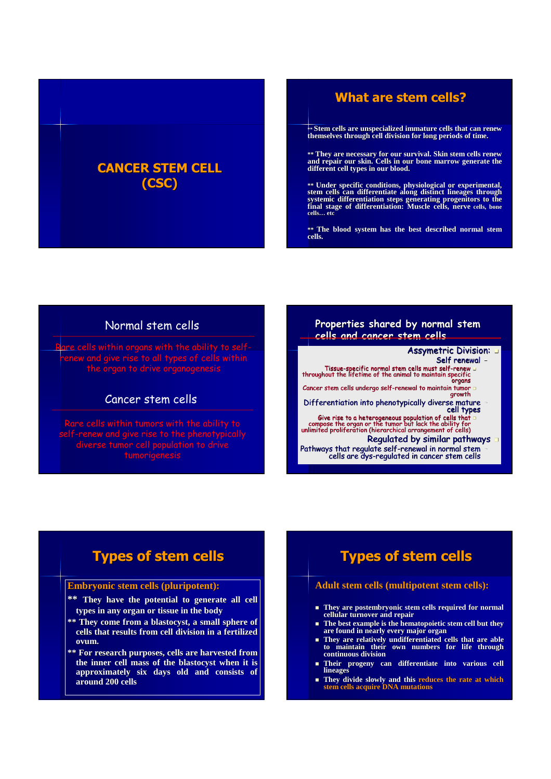### **CANCER STEM CELL (CSC)**

### **What are stem cells?**

**\*\* Stem cells are unspecialized immature cells that can renew themselves through cell division for long periods of time.**

**\*\* They are necessary for our survival. Skin stem cells renew and repair our skin. Cells in our bone marrow generate the different cell types in our blood.**

\*\* Under specific conditions, physiological or experimental,<br>stem cells can differentiate along distinct lineages through<br>systemic differentiation steps generating progenitors to the<br>final stage of differentiation: Muscle

**\*\* The blood system has the best described normal stem cells.**

#### Normal stem cells

Rare cells within organs with the ability to selfrenew and give rise to all types of cells within

#### Cancer stem cells

#### **Properties shared by normal stem cells and cancer stem cells**

Assymetric Division:

Self renewal –

Tissue-specific normal stem cells must self-renew throughout the lifetime of the animal to maintain specific organs

Cancer stem cells undergo self-renewal to maintain tumor growth Differentiation into phenotypically diverse mature –

cell types

Give rise to a heterogeneous population of cells that compose the organ or the tumor but lack the ability for unlimited proliferation (hierarchical arrangement of cells)

Regulated by similar pathways Pathways that regulate self-renewal in normal stem – cells are dys-regulated in cancer stem cells

# **Types of stem cells**

#### **Embryonic stem cells (pluripotent):**

- **\*\* They have the potential to generate all cell types in any organ or tissue in the body**
- **\*\* They come from a blastocyst, a small sphere of cells that results from cell division in a fertilized ovum.**
- **\*\* For research purposes, cells are harvested from the inner cell mass of the blastocyst when it is approximately six days old and consists of around 200 cells**

# **Types of stem cells**

#### **Adult stem cells (multipotent stem cells):**

- **They are postembryonic stem cells required for normal cellular turnover and repair**
- **The best example is the hematopoietic stem cell but they are found in nearly every major organ**
- **They are relatively undifferentiated cells that are able to maintain their own numbers for life through continuous division**
- **Their progeny can differentiate into various cell lineages**
- **They divide slowly and this reduces the rate at which stem cells acquire DNA mutations**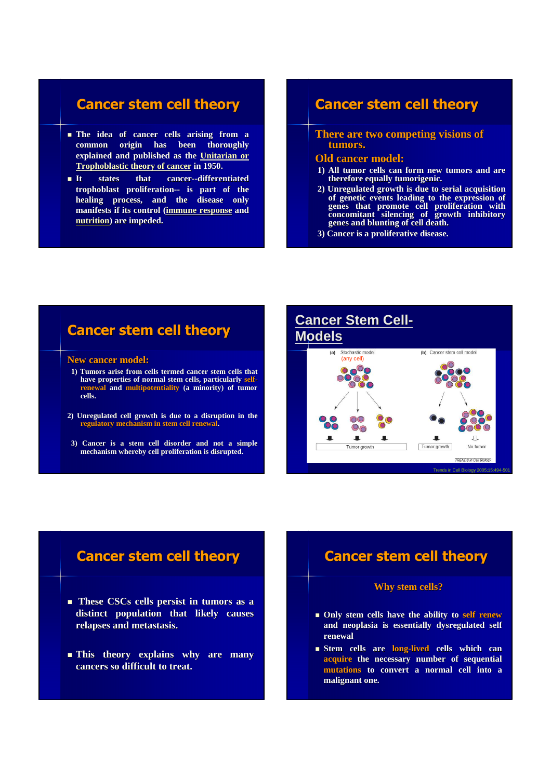### **Cancer stem cell theory**

- **The idea of cancer cells arising from a common origin has been thoroughly explained and published as the Unitarian or Trophoblastic theory of cancer in 1950.**
- **It states that cancer--differentiated trophoblast proliferation-- is part of the healing process, and the disease only manifests if its control (immune response and nutrition) are impeded.**

### **Cancer stem cell theory**

#### **There are two competing visions of tumors.**

#### **Old cancer model:**

- **1) All tumor cells can form new tumors and are therefore equally tumorigenic.**
- **2) Unregulated growth is due to serial acquisition of genetic events leading to the expression of genes that promote cell proliferation with concomitant silencing of growth inhibitory genes and blunting of cell death.**
- **3) Cancer is a proliferative disease.**

## **Cancer stem cell theory**

#### **New cancer model:**

- **1) Tumors arise from cells termed cancer stem cells that have properties of normal stem cells, particularly selfrenewal and multipotentiality (a minority) of tumor cells.**
- **2) Unregulated cell growth is due to a disruption in the regulatory mechanism in stem cell renewal.**
- **3) Cancer is a stem cell disorder and not a simple mechanism whereby cell proliferation is disrupted.**

#### **Cancer Stem Cell-Models** Stochastic model (b) Cancer stem cell mode (any cell)  $\bigcap$  $O$ п  $\Box$ Tumor growth No tumo Tumor grov **TRENDS** in Cell Biology Trends in Cell Biology 2005;15:494-501

### **Cancer stem cell theory**

- **These CSCs cells persist in tumors as a distinct population that likely causes relapses and metastasis.**
- **This theory explains why are many cancers so difficult to treat.**

### **Cancer stem cell theory**

#### **Why stem cells?**

- **Only stem cells have the ability to self renew and neoplasia is essentially dysregulated self renewal**
- **Stem cells are long-lived cells which can acquire the necessary number of sequential mutations to convert a normal cell into a malignant one.**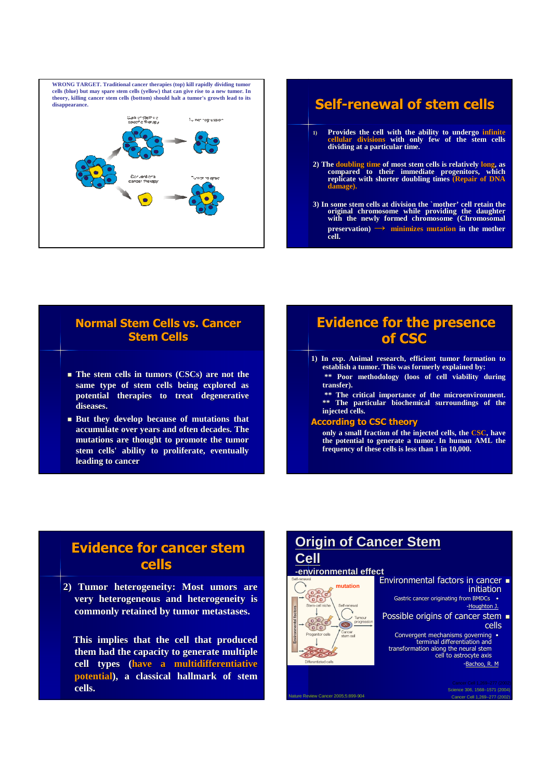

- **1) Provides the cell with the ability to undergo infinite cellular divisions with only few of the stem cells dividing at a particular time.**
- **2) The doubling time of most stem cells is relatively long, as compared to their immediate progenitors, which replicate with shorter doubling times (Repair of DNA damage).**
- **3) In some stem cells at division the `mother' cell retain the original chromosome while providing the daughter with the newly formed chromosome (Chromosomal preservation) → minimizes mutation in the mother cell.**

### **Normal Stem Cells vs. Cancer Stem Cells**

- **The stem cells in tumors (CSCs) are not the same type of stem cells being explored as potential therapies to treat degenerative diseases.**
- **But they develop because of mutations that accumulate over years and often decades. The mutations are thought to promote the tumor stem cells' ability to proliferate, eventually leading to cancer**

### **Evidence for the presence of CSC**

- **1) In exp. Animal research, efficient tumor formation to establish a tumor. This was formerly explained by: \*\* Poor methodology (loos of cell viability during** 
	- **transfer).**
	- **\*\* The critical importance of the microenvironment. \*\* The particular biochemical surroundings of the injected cells.**

#### **According to CSC theory**

**only a small fraction of the injected cells, the CSC, have the potential to generate a tumor. In human AML the frequency of these cells is less than 1 in 10,000.**

### **Evidence for cancer stem cells**

**2) Tumor heterogeneity: Most umors are very heterogeneous and heterogeneity is commonly retained by tumor metastases.**

**This implies that the cell that produced them had the capacity to generate multiple cell types (have a multidifferentiative potential), a classical hallmark of stem cells.**

### **Origin of Cancer Stem Cell**

#### **-environmental effect mutation**

 $\overline{\text{CD}}$ 

Nature Review Cancer 2005;5:899-904

Coco

- Environmental factors in cancer initiation Gastric cancer originating from BMDCs •
	- -Houghton J.
	- Possible origins of cancer stem  $\blacksquare$ cells
	- Convergent mechanisms governing terminal differentiation and transformation along the neural stem cell to astrocyte axis -Bachoo, R. M

Science 306, 1568–1571 (2004) Cancer Cell 1,269–277 (2002)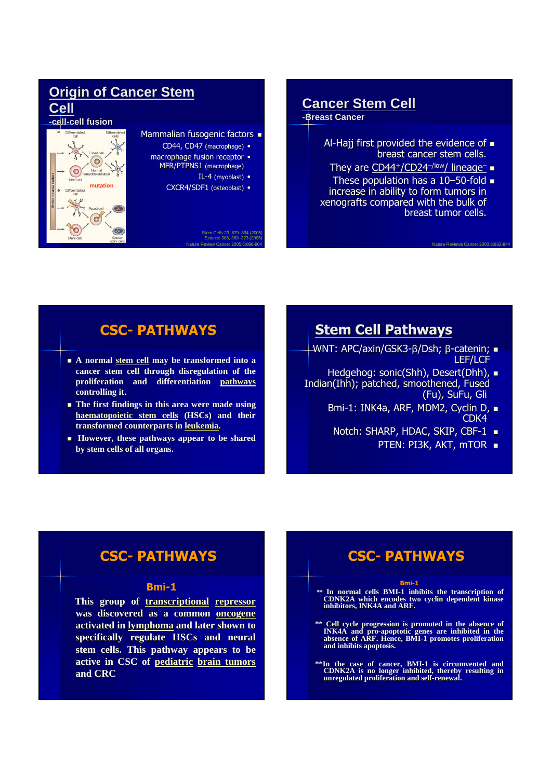### **Origin of Cancer Stem Cell**

#### **-cell-cell fusion**



#### Mammalian fusogenic factors  $\blacksquare$

- CD44, CD47 (macrophage) •
- macrophage fusion receptor
	- MFR/PTPNS1 (macrophage)
		- IL-4 (myoblast) •
		- CXCR4/SDF1 (osteoblast) •

Nature Review Cancer 2005;5:899-904 Science 308, 369–373 (2005) Stem Cells 23, 879–894 (2005)

# **Cancer Stem Cell**

**-Breast Cancer**

- Al-Hajj first provided the evidence of  $\blacksquare$ breast cancer stem cells.
- They are <u>CD44+/CD24<sup>–/low</sup>/ lineage<sup>–</sup></u> ■
- These population has a 10–50-fold increase in ability to form tumors in xenografts compared with the bulk of breast tumor cells.

## **CSC- PATHWAYS**

- **A normal stem cell may be transformed into a cancer stem cell through disregulation of the proliferation and differentiation pathways controlling it.**
- **The first findings in this area were made using haematopoietic stem cells (HSCs) and their transformed counterparts in leukemia.**
- **However, these pathways appear to be shared by stem cells of all organs.**

### **Stem Cell Pathways**

- WNT: APC/axin/GSK3-β/Dsh; β-catenin; = LEF/LCF
- Hedgehog: sonic(Shh), Desert(Dhh), Indian(Ihh); patched, smoothened, Fused (Fu), SuFu, Gli
	- Bmi-1: INK4a, ARF, MDM2, Cyclin D,  $\blacksquare$ CDK4
	- Notch: SHARP, HDAC, SKIP, CBF-1  $\blacksquare$ 
		- PTEN: PI3K, AKT, mTOR  $\blacksquare$

Nature Reviews Cancer 2003;3:832-844

### **CSC- PATHWAYS**

#### **Bmi-1**

**This group of transcriptional repressor was discovered as a common oncogene activated in lymphoma and later shown to specifically regulate HSCs and neural stem cells. This pathway appears to be active in CSC of pediatric brain tumors and CRC**

# **CSC- PATHWAYS**

#### **Bmi-1**

**\*\* In normal cells BMI-1 inhibits the transcription of CDNK2A which encodes two cyclin dependent kinase inhibitors, INK4A and ARF.**

**\*\* Cell cycle progression is promoted in the absence of INK4A and pro-apoptotic genes are inhibited in the absence of ARF. Hence, BMI-1 promotes proliferation and inhibits apoptosis.**

**\*\*In the case of cancer, BMI-1 is circumvented and CDNK2A is no longer inhibited, thereby resulting in unregulated proliferation and self-renewal.**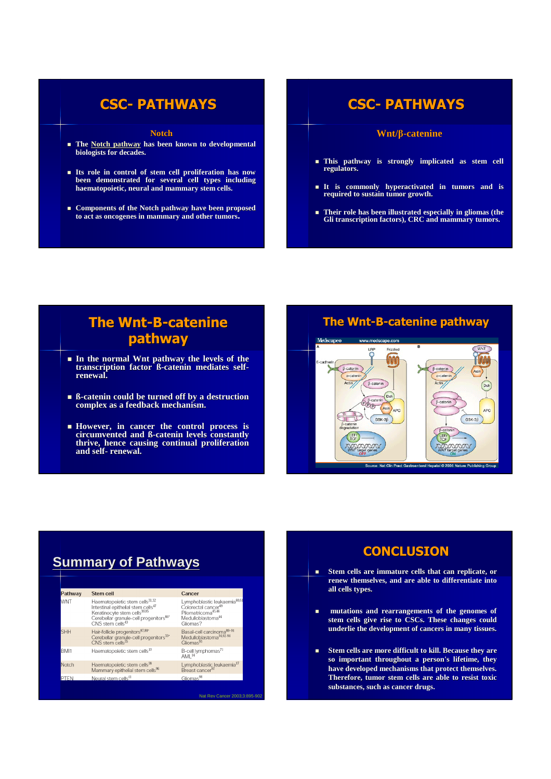### **CSC- PATHWAYS**

#### **Notch**

- **The Notch pathway has been known to developmental biologists for decades.**
- **Its role in control of stem cell proliferation has now been demonstrated for several cell types including haematopoietic, neural and mammary stem cells.**
- **Components of the Notch pathway have been proposed to act as oncogenes in mammary and other tumors.**

# **CSC- PATHWAYS**

#### **Wnt/β-catenine**

- **This pathway is strongly implicated as stem cell regulators.**
- **It is commonly hyperactivated in tumors and is required to sustain tumor growth.**
- **Their role has been illustrated especially in gliomas (the Gli transcription factors), CRC and mammary tumors.**

### **The Wnt-B-catenine pathway**

- **In the normal Wnt pathway the levels of the transcription factor ß-catenin mediates selfrenewal.**
- **ß-catenin could be turned off by a destruction complex as a feedback mechanism.**
- **However, in cancer the control process is circumvented and ß-catenin levels constantly thrive, hence causing continual proliferation and self- renewal.**

#### **The Wnt-B-catenine pathway**



# **Summary of Pathways**

| Pathway    | Stem cell                                                                                                                                                                                              | Cancer                                                                                                                                         |
|------------|--------------------------------------------------------------------------------------------------------------------------------------------------------------------------------------------------------|------------------------------------------------------------------------------------------------------------------------------------------------|
| <b>WNT</b> | Haematopoietic stem cells <sup>31,32</sup><br>Intestinal epithelial stem cells <sup>47</sup><br>Keratinocyte stem cells <sup>30,85</sup><br>Cerebellar granule-cell progenitors86*<br>CNS stem cells43 | Lymphoblastic leukaemia <sup>60,61</sup><br>Colorectal cancer <sup>49</sup><br>Pilomatricoma45,46<br>Medulloblastoma <sup>44</sup><br>Gliomas? |
| <b>SHH</b> | Hair-follicle progenitors <sup>87,88</sup> *<br>Cerebellar granule-cell progenitors <sup>33+</sup><br>CNS stem cells <sup>35</sup>                                                                     | Basal-cell carcinoma <sup>89-91</sup><br>Medulloblastoma <sup>34,92-94</sup><br>Gliomas <sup>95</sup>                                          |
| BMI1       | Haematopoietic stem cells <sup>13</sup>                                                                                                                                                                | B-cell lymphomas <sup>71</sup><br>AML <sup>14</sup>                                                                                            |
| Notch      | Haematopoietic stem cells <sup>38</sup><br>Mammary epithelial stem cells <sup>96</sup>                                                                                                                 | Lymphoblastic leukaemia <sup>37</sup><br>Breast cancer <sup>97</sup>                                                                           |
| PTEN       | Neural stem cells41                                                                                                                                                                                    | Gliomas <sup>98</sup>                                                                                                                          |

Nat Rev Cancer 2003;3:895-902

### **CONCLUSION**

- **Stem cells are immature cells that can replicate, or renew themselves, and are able to differentiate into all cells types.**
- **mutations and rearrangements of the genomes of stem cells give rise to CSCs. These changes could underlie the development of cancers in many tissues.**
- **Stem cells are more difficult to kill. Because they are so important throughout a person's lifetime, they have developed mechanisms that protect themselves. Therefore, tumor stem cells are able to resist toxic substances, such as cancer drugs.**